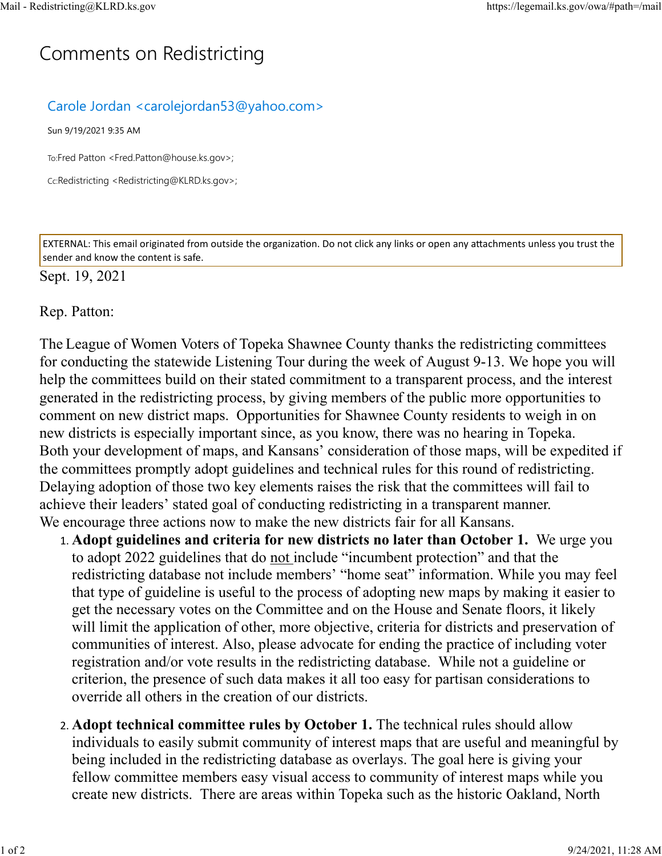## C[omm](https://legemail.ks.gov/owa/#path=/mail)ents on Redistricting

## Carole Jordan <carolejordan53@yahoo.com>

Sun 9/19/2021 9:35 AM

To:Fred Patton <Fred.Patton@house.ks.gov>;

Cc:Redistricting <Redistricting@KLRD.ks.gov>;

EXTERNAL: This email originated from outside the organization. Do not click any links or open any attachments unless you trust the sender and know the content is safe.

## Sept. 19, 2021

Rep. Patton:

The League of Women Voters of Topeka Shawnee County thanks the redistricting committees for conducting the statewide Listening Tour during the week of August 9-13. We hope you will help the committees build on their stated commitment to a transparent process, and the interest generated in the redistricting process, by giving members of the public more opportunities to comment on new district maps. Opportunities for Shawnee County residents to weigh in on new districts is especially important since, as you know, there was no hearing in Topeka. Both your development of maps, and Kansans' consideration of those maps, will be expedited if the committees promptly adopt guidelines and technical rules for this round of redistricting. Delaying adoption of those two key elements raises the risk that the committees will fail to achieve their leaders' stated goal of conducting redistricting in a transparent manner. We encourage three actions now to make the new districts fair for all Kansans.

- 1. **Adopt guidelines and criteria for new districts no later than October 1.** We urge you to adopt 2022 guidelines that do not include "incumbent protection" and that the redistricting database not include members' "home seat" information. While you may feel that type of guideline is useful to the process of adopting new maps by making it easier to get the necessary votes on the Committee and on the House and Senate floors, it likely will limit the application of other, more objective, criteria for districts and preservation of communities of interest. Also, please advocate for ending the practice of including voter registration and/or vote results in the redistricting database. While not a guideline or criterion, the presence of such data makes it all too easy for partisan considerations to override all others in the creation of our districts.
- 2. **Adopt technical committee rules by October 1.** The technical rules should allow individuals to easily submit community of interest maps that are useful and meaningful by being included in the redistricting database as overlays. The goal here is giving your fellow committee members easy visual access to community of interest maps while you create new districts. There are areas within Topeka such as the historic Oakland, North